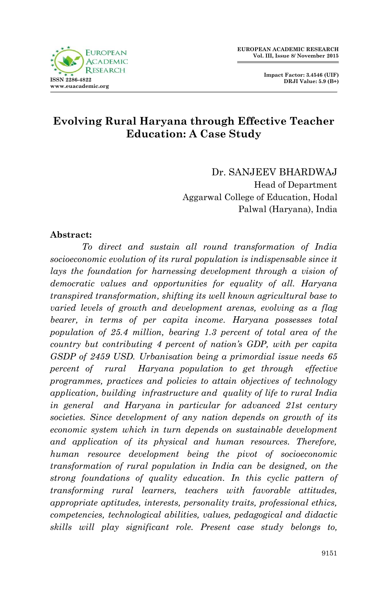

# **Evolving Rural Haryana through Effective Teacher Education: A Case Study**

Dr. SANJEEV BHARDWAJ Head of Department Aggarwal College of Education, Hodal Palwal (Haryana), India

#### **Abstract:**

*To direct and sustain all round transformation of India socioeconomic evolution of its rural population is indispensable since it lays the foundation for harnessing development through a vision of democratic values and opportunities for equality of all. Haryana transpired transformation, shifting its well known agricultural base to varied levels of growth and development arenas, evolving as a flag bearer, in terms of per capita income. Haryana possesses total population of 25.4 million, bearing 1.3 percent of total area of the country but contributing 4 percent of nation's GDP, with per capita GSDP of 2459 USD. Urbanisation being a primordial issue needs 65 percent of rural Haryana population to get through effective programmes, practices and policies to attain objectives of technology application, building infrastructure and quality of life to rural India in general and Haryana in particular for advanced 21st century societies. Since development of any nation depends on growth of its economic system which in turn depends on sustainable development and application of its physical and human resources. Therefore, human resource development being the pivot of socioeconomic transformation of rural population in India can be designed, on the strong foundations of quality education. In this cyclic pattern of transforming rural learners, teachers with favorable attitudes, appropriate aptitudes, interests, personality traits, professional ethics, competencies, technological abilities, values, pedagogical and didactic skills will play significant role. Present case study belongs to,*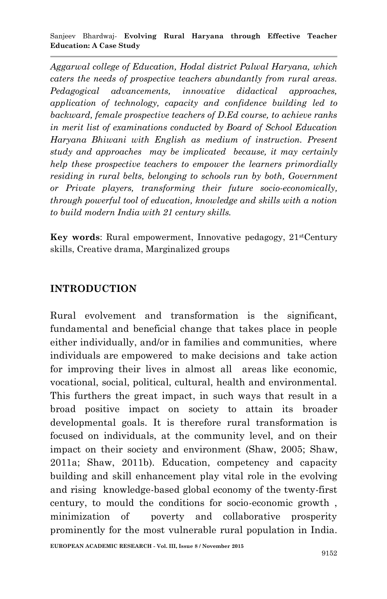*Aggarwal college of Education, Hodal district Palwal Haryana, which caters the needs of prospective teachers abundantly from rural areas. Pedagogical advancements, innovative didactical approaches, application of technology, capacity and confidence building led to backward, female prospective teachers of D.Ed course, to achieve ranks in merit list of examinations conducted by Board of School Education Haryana Bhiwani with English as medium of instruction. Present study and approaches may be implicated because, it may certainly help these prospective teachers to empower the learners primordially residing in rural belts, belonging to schools run by both, Government or Private players, transforming their future socio-economically, through powerful tool of education, knowledge and skills with a notion to build modern India with 21 century skills.*

**Key words:** Rural empowerment, Innovative pedagogy, 21<sup>st</sup>Century skills, Creative drama, Marginalized groups

## **INTRODUCTION**

Rural evolvement and transformation is the significant, fundamental and beneficial change that takes place in people either individually, and/or in families and communities, where individuals are empowered to make decisions and take action for improving their lives in almost all areas like economic, vocational, social, political, cultural, health and environmental. This furthers the great impact, in such ways that result in a broad positive impact on society to attain its broader developmental goals. It is therefore rural transformation is focused on individuals, at the community level, and on their impact on their society and environment (Shaw, 2005; Shaw, 2011a; Shaw, 2011b). Education, competency and capacity building and skill enhancement play vital role in the evolving and rising knowledge-based global economy of the twenty-first century, to mould the conditions for socio-economic growth , minimization of poverty and collaborative prosperity prominently for the most vulnerable rural population in India.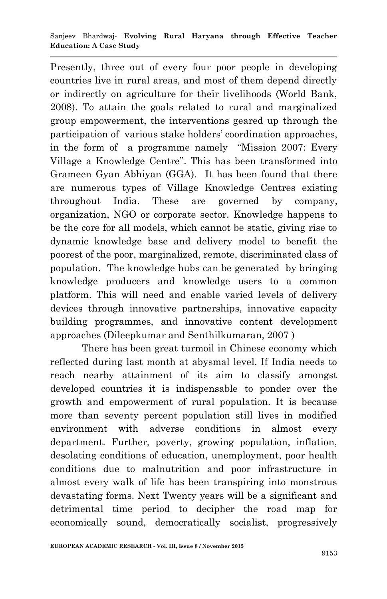Presently, three out of every four poor people in developing countries live in rural areas, and most of them depend directly or indirectly on agriculture for their livelihoods (World Bank, 2008). To attain the goals related to rural and marginalized group empowerment, the interventions geared up through the participation of various stake holders" coordination approaches, in the form of a programme namely "Mission 2007: Every Village a Knowledge Centre". This has been transformed into Grameen Gyan Abhiyan (GGA). It has been found that there are numerous types of Village Knowledge Centres existing throughout India. These are governed by company, organization, NGO or corporate sector. Knowledge happens to be the core for all models, which cannot be static, giving rise to dynamic knowledge base and delivery model to benefit the poorest of the poor, marginalized, remote, discriminated class of population. The knowledge hubs can be generated by bringing knowledge producers and knowledge users to a common platform. This will need and enable varied levels of delivery devices through innovative partnerships, innovative capacity building programmes, and innovative content development approaches (Dileepkumar and Senthilkumaran, 2007 )

There has been great turmoil in Chinese economy which reflected during last month at abysmal level. If India needs to reach nearby attainment of its aim to classify amongst developed countries it is indispensable to ponder over the growth and empowerment of rural population. It is because more than seventy percent population still lives in modified environment with adverse conditions in almost every department. Further, poverty, growing population, inflation, desolating conditions of education, unemployment, poor health conditions due to malnutrition and poor infrastructure in almost every walk of life has been transpiring into monstrous devastating forms. Next Twenty years will be a significant and detrimental time period to decipher the road map for economically sound, democratically socialist, progressively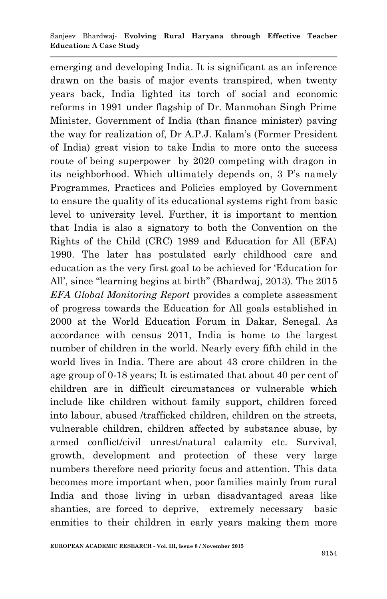emerging and developing India. It is significant as an inference drawn on the basis of major events transpired, when twenty years back, India lighted its torch of social and economic reforms in 1991 under flagship of Dr. Manmohan Singh Prime Minister, Government of India (than finance minister) paving the way for realization of, Dr A.P.J. Kalam"s (Former President of India) great vision to take India to more onto the success route of being superpower by 2020 competing with dragon in its neighborhood. Which ultimately depends on, 3 P's namely Programmes, Practices and Policies employed by Government to ensure the quality of its educational systems right from basic level to university level. Further, it is important to mention that India is also a signatory to both the Convention on the Rights of the Child (CRC) 1989 and Education for All (EFA) 1990. The later has postulated early childhood care and education as the very first goal to be achieved for "Education for All", since "learning begins at birth" (Bhardwaj, 2013). The 2015 *EFA Global Monitoring Report* provides a complete assessment of progress towards the Education for All goals established in 2000 at the World Education Forum in Dakar, Senegal. As accordance with census 2011, India is home to the largest number of children in the world. Nearly every fifth child in the world lives in India. There are about 43 crore children in the age group of 0-18 years; It is estimated that about 40 per cent of children are in difficult circumstances or vulnerable which include like children without family support, children forced into labour, abused /trafficked children, children on the streets, vulnerable children, children affected by substance abuse, by armed conflict/civil unrest/natural calamity etc. Survival, growth, development and protection of these very large numbers therefore need priority focus and attention. This data becomes more important when, poor families mainly from rural India and those living in urban disadvantaged areas like shanties, are forced to deprive, extremely necessary basic enmities to their children in early years making them more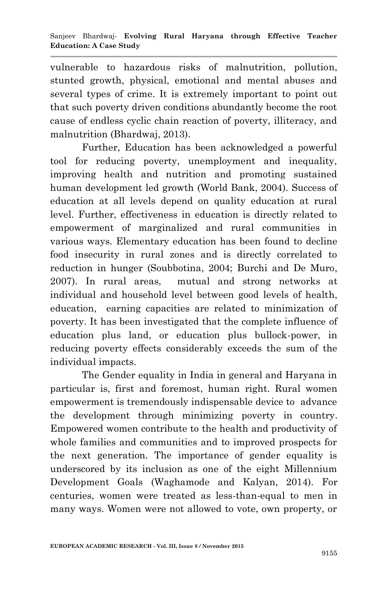vulnerable to hazardous risks of malnutrition, pollution, stunted growth, physical, emotional and mental abuses and several types of crime. It is extremely important to point out that such poverty driven conditions abundantly become the root cause of endless cyclic chain reaction of poverty, illiteracy, and malnutrition (Bhardwaj, 2013).

Further, Education has been acknowledged a powerful tool for reducing poverty, unemployment and inequality, improving health and nutrition and promoting sustained human development led growth (World Bank, 2004). Success of education at all levels depend on quality education at rural level. Further, effectiveness in education is directly related to empowerment of marginalized and rural communities in various ways. Elementary education has been found to decline food insecurity in rural zones and is directly correlated to reduction in hunger (Soubbotina, 2004; Burchi and De Muro, 2007). In rural areas, mutual and strong networks at individual and household level between good levels of health, education, earning capacities are related to minimization of poverty. It has been investigated that the complete influence of education plus land, or education plus bullock-power, in reducing poverty effects considerably exceeds the sum of the individual impacts.

The Gender equality in India in general and Haryana in particular is, first and foremost, human right. Rural women empowerment is tremendously indispensable device to advance the development through minimizing poverty in country. Empowered women contribute to the health and productivity of whole families and communities and to improved prospects for the next generation. The importance of gender equality is underscored by its inclusion as one of the eight Millennium Development Goals (Waghamode and Kalyan, 2014). For centuries, women were treated as less-than-equal to men in many ways. Women were not allowed to vote, own property, or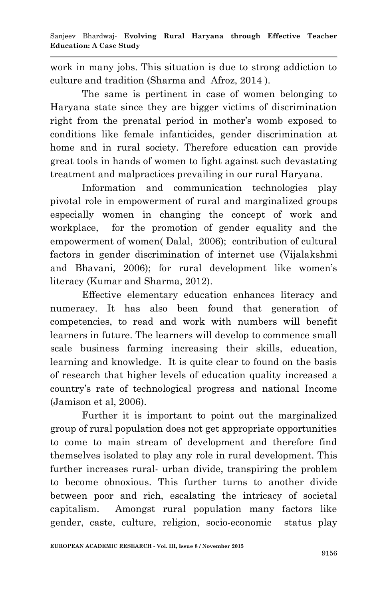work in many jobs. This situation is due to strong addiction to culture and tradition (Sharma and Afroz, 2014 ).

The same is pertinent in case of women belonging to Haryana state since they are bigger victims of discrimination right from the prenatal period in mother's womb exposed to conditions like female infanticides, gender discrimination at home and in rural society. Therefore education can provide great tools in hands of women to fight against such devastating treatment and malpractices prevailing in our rural Haryana.

Information and communication technologies play pivotal role in empowerment of rural and marginalized groups especially women in changing the concept of work and workplace, for the promotion of gender equality and the empowerment of women( Dalal, 2006); contribution of cultural factors in gender discrimination of internet use (Vijalakshmi and Bhavani, 2006); for rural development like women's literacy (Kumar and Sharma, 2012).

Effective elementary education enhances literacy and numeracy. It has also been found that generation of competencies, to read and work with numbers will benefit learners in future. The learners will develop to commence small scale business farming increasing their skills, education, learning and knowledge. It is quite clear to found on the basis of research that higher levels of education quality increased a country"s rate of technological progress and national Income (Jamison et al, 2006).

Further it is important to point out the marginalized group of rural population does not get appropriate opportunities to come to main stream of development and therefore find themselves isolated to play any role in rural development. This further increases rural- urban divide, transpiring the problem to become obnoxious. This further turns to another divide between poor and rich, escalating the intricacy of societal capitalism. Amongst rural population many factors like gender, caste, culture, religion, socio-economic status play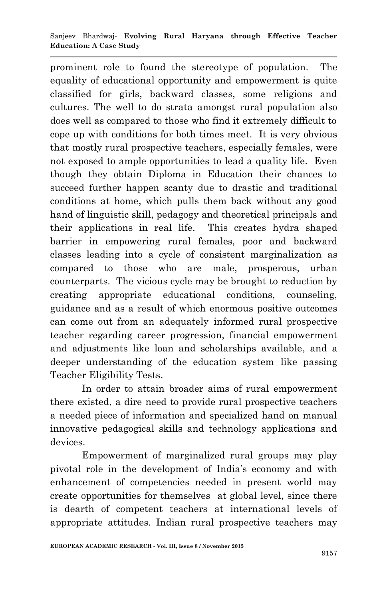prominent role to found the stereotype of population. The equality of educational opportunity and empowerment is quite classified for girls, backward classes, some religions and cultures. The well to do strata amongst rural population also does well as compared to those who find it extremely difficult to cope up with conditions for both times meet. It is very obvious that mostly rural prospective teachers, especially females, were not exposed to ample opportunities to lead a quality life. Even though they obtain Diploma in Education their chances to succeed further happen scanty due to drastic and traditional conditions at home, which pulls them back without any good hand of linguistic skill, pedagogy and theoretical principals and their applications in real life. This creates hydra shaped barrier in empowering rural females, poor and backward classes leading into a cycle of consistent marginalization as compared to those who are male, prosperous, urban counterparts. The vicious cycle may be brought to reduction by creating appropriate educational conditions, counseling, guidance and as a result of which enormous positive outcomes can come out from an adequately informed rural prospective teacher regarding career progression, financial empowerment and adjustments like loan and scholarships available, and a deeper understanding of the education system like passing Teacher Eligibility Tests.

In order to attain broader aims of rural empowerment there existed, a dire need to provide rural prospective teachers a needed piece of information and specialized hand on manual innovative pedagogical skills and technology applications and devices.

Empowerment of marginalized rural groups may play pivotal role in the development of India"s economy and with enhancement of competencies needed in present world may create opportunities for themselves at global level, since there is dearth of competent teachers at international levels of appropriate attitudes. Indian rural prospective teachers may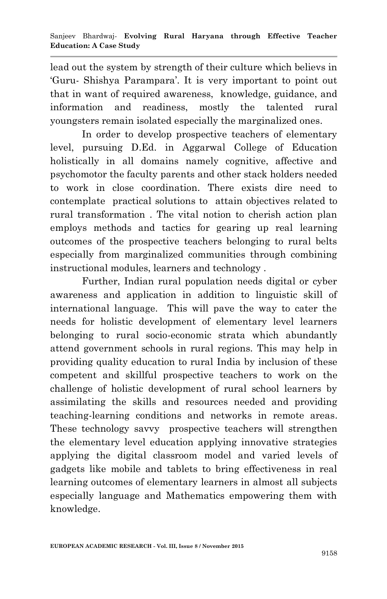lead out the system by strength of their culture which believs in "Guru- Shishya Parampara". It is very important to point out that in want of required awareness, knowledge, guidance, and information and readiness, mostly the talented rural youngsters remain isolated especially the marginalized ones.

In order to develop prospective teachers of elementary level, pursuing D.Ed. in Aggarwal College of Education holistically in all domains namely cognitive, affective and psychomotor the faculty parents and other stack holders needed to work in close coordination. There exists dire need to contemplate practical solutions to attain objectives related to rural transformation . The vital notion to cherish action plan employs methods and tactics for gearing up real learning outcomes of the prospective teachers belonging to rural belts especially from marginalized communities through combining instructional modules, learners and technology .

Further, Indian rural population needs digital or cyber awareness and application in addition to linguistic skill of international language. This will pave the way to cater the needs for holistic development of elementary level learners belonging to rural socio-economic strata which abundantly attend government schools in rural regions. This may help in providing quality education to rural India by inclusion of these competent and skillful prospective teachers to work on the challenge of holistic development of rural school learners by assimilating the skills and resources needed and providing teaching-learning conditions and networks in remote areas. These technology savvy prospective teachers will strengthen the elementary level education applying innovative strategies applying the digital classroom model and varied levels of gadgets like mobile and tablets to bring effectiveness in real learning outcomes of elementary learners in almost all subjects especially language and Mathematics empowering them with knowledge.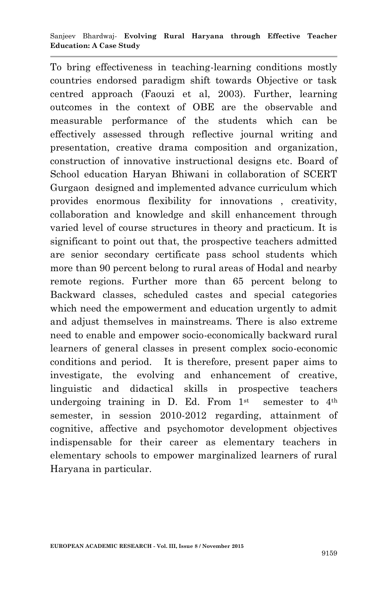To bring effectiveness in teaching-learning conditions mostly countries endorsed paradigm shift towards Objective or task centred approach (Faouzi et al, 2003). Further, learning outcomes in the context of OBE are the observable and measurable performance of the students which can be effectively assessed through reflective journal writing and presentation, creative drama composition and organization, construction of innovative instructional designs etc. Board of School education Haryan Bhiwani in collaboration of SCERT Gurgaon designed and implemented advance curriculum which provides enormous flexibility for innovations , creativity, collaboration and knowledge and skill enhancement through varied level of course structures in theory and practicum. It is significant to point out that, the prospective teachers admitted are senior secondary certificate pass school students which more than 90 percent belong to rural areas of Hodal and nearby remote regions. Further more than 65 percent belong to Backward classes, scheduled castes and special categories which need the empowerment and education urgently to admit and adjust themselves in mainstreams. There is also extreme need to enable and empower socio-economically backward rural learners of general classes in present complex socio-economic conditions and period. It is therefore, present paper aims to investigate, the evolving and enhancement of creative, linguistic and didactical skills in prospective teachers undergoing training in D. Ed. From  $1<sup>st</sup>$  semester to  $4<sup>th</sup>$ semester, in session 2010-2012 regarding, attainment of cognitive, affective and psychomotor development objectives indispensable for their career as elementary teachers in elementary schools to empower marginalized learners of rural Haryana in particular.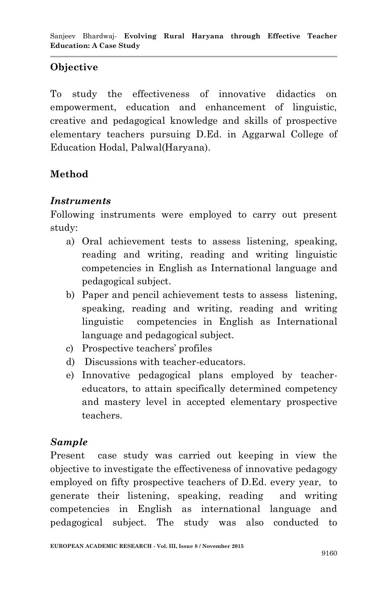## **Objective**

To study the effectiveness of innovative didactics on empowerment, education and enhancement of linguistic, creative and pedagogical knowledge and skills of prospective elementary teachers pursuing D.Ed. in Aggarwal College of Education Hodal, Palwal(Haryana).

# **Method**

#### *Instruments*

Following instruments were employed to carry out present study:

- a) Oral achievement tests to assess listening, speaking, reading and writing, reading and writing linguistic competencies in English as International language and pedagogical subject.
- b) Paper and pencil achievement tests to assess listening, speaking, reading and writing, reading and writing linguistic competencies in English as International language and pedagogical subject.
- c) Prospective teachers" profiles
- d) Discussions with teacher-educators.
- e) Innovative pedagogical plans employed by teachereducators, to attain specifically determined competency and mastery level in accepted elementary prospective teachers.

## *Sample*

Present case study was carried out keeping in view the objective to investigate the effectiveness of innovative pedagogy employed on fifty prospective teachers of D.Ed. every year, to generate their listening, speaking, reading and writing competencies in English as international language and pedagogical subject. The study was also conducted to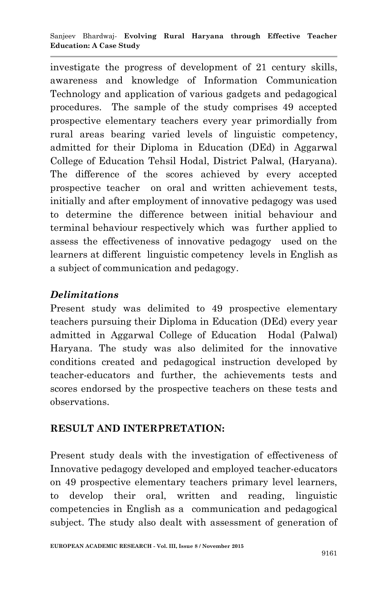investigate the progress of development of 21 century skills, awareness and knowledge of Information Communication Technology and application of various gadgets and pedagogical procedures. The sample of the study comprises 49 accepted prospective elementary teachers every year primordially from rural areas bearing varied levels of linguistic competency, admitted for their Diploma in Education (DEd) in Aggarwal College of Education Tehsil Hodal, District Palwal, (Haryana). The difference of the scores achieved by every accepted prospective teacher on oral and written achievement tests, initially and after employment of innovative pedagogy was used to determine the difference between initial behaviour and terminal behaviour respectively which was further applied to assess the effectiveness of innovative pedagogy used on the learners at different linguistic competency levels in English as a subject of communication and pedagogy.

## *Delimitations*

Present study was delimited to 49 prospective elementary teachers pursuing their Diploma in Education (DEd) every year admitted in Aggarwal College of Education Hodal (Palwal) Haryana. The study was also delimited for the innovative conditions created and pedagogical instruction developed by teacher-educators and further, the achievements tests and scores endorsed by the prospective teachers on these tests and observations.

# **RESULT AND INTERPRETATION:**

Present study deals with the investigation of effectiveness of Innovative pedagogy developed and employed teacher-educators on 49 prospective elementary teachers primary level learners, to develop their oral, written and reading, linguistic competencies in English as a communication and pedagogical subject. The study also dealt with assessment of generation of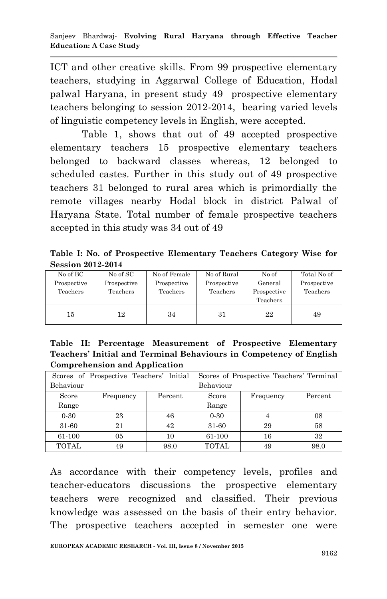ICT and other creative skills. From 99 prospective elementary teachers, studying in Aggarwal College of Education, Hodal palwal Haryana, in present study 49 prospective elementary teachers belonging to session 2012-2014, bearing varied levels of linguistic competency levels in English, were accepted.

Table 1, shows that out of 49 accepted prospective elementary teachers 15 prospective elementary teachers belonged to backward classes whereas, 12 belonged to scheduled castes. Further in this study out of 49 prospective teachers 31 belonged to rural area which is primordially the remote villages nearby Hodal block in district Palwal of Haryana State. Total number of female prospective teachers accepted in this study was 34 out of 49

**Table I: No. of Prospective Elementary Teachers Category Wise for Session 2012-2014**

| No of BC<br>Prospective<br>Teachers | No of SC<br>Prospective<br>Teachers | No of Female<br>Prospective<br>Teachers | No of Rural<br>Prospective<br>Teachers | No of<br>General<br>Prospective<br>Teachers | Total No of<br>Prospective<br>Teachers |
|-------------------------------------|-------------------------------------|-----------------------------------------|----------------------------------------|---------------------------------------------|----------------------------------------|
| 15                                  | 12                                  | 34                                      | 31                                     | 22                                          | 49                                     |

**Table II: Percentage Measurement of Prospective Elementary Teachers' Initial and Terminal Behaviours in Competency of English Comprehension and Application** 

| Scores of Prospective Teachers' Initial |           |         | Scores of Prospective Teachers' Terminal |           |         |
|-----------------------------------------|-----------|---------|------------------------------------------|-----------|---------|
| Behaviour                               |           |         | Behaviour                                |           |         |
| Score                                   | Frequency | Percent | Score                                    | Frequency | Percent |
| Range                                   |           |         | Range                                    |           |         |
| $0 - 30$                                | 23        | 46      | $0-30$                                   |           | 08      |
| 31-60                                   | 21        | 42      | 31-60                                    | 29        | 58      |
| 61-100                                  | 05        | 10      | 61-100                                   | 16        | 32      |
| <b>TOTAL</b>                            | 49        | 98.0    | <b>TOTAL</b>                             | 49        | 98.0    |

As accordance with their competency levels, profiles and teacher-educators discussions the prospective elementary teachers were recognized and classified. Their previous knowledge was assessed on the basis of their entry behavior. The prospective teachers accepted in semester one were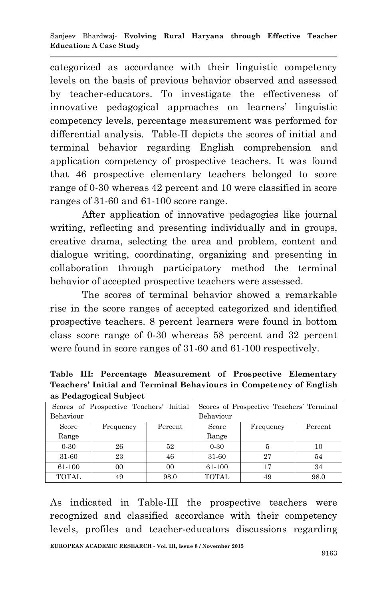categorized as accordance with their linguistic competency levels on the basis of previous behavior observed and assessed by teacher-educators. To investigate the effectiveness of innovative pedagogical approaches on learners" linguistic competency levels, percentage measurement was performed for differential analysis. Table-II depicts the scores of initial and terminal behavior regarding English comprehension and application competency of prospective teachers. It was found that 46 prospective elementary teachers belonged to score range of 0-30 whereas 42 percent and 10 were classified in score ranges of 31-60 and 61-100 score range.

After application of innovative pedagogies like journal writing, reflecting and presenting individually and in groups, creative drama, selecting the area and problem, content and dialogue writing, coordinating, organizing and presenting in collaboration through participatory method the terminal behavior of accepted prospective teachers were assessed.

The scores of terminal behavior showed a remarkable rise in the score ranges of accepted categorized and identified prospective teachers. 8 percent learners were found in bottom class score range of 0-30 whereas 58 percent and 32 percent were found in score ranges of 31-60 and 61-100 respectively.

**Table III: Percentage Measurement of Prospective Elementary Teachers' Initial and Terminal Behaviours in Competency of English as Pedagogical Subject**

| Scores of Prospective Teachers' Initial |           |         | Scores of Prospective Teachers' Terminal |           |         |  |
|-----------------------------------------|-----------|---------|------------------------------------------|-----------|---------|--|
| Behaviour                               |           |         | Behaviour                                |           |         |  |
| Score                                   | Frequency | Percent | Score                                    | Frequency | Percent |  |
| Range                                   |           |         | Range                                    |           |         |  |
| $0-30$                                  | 26        | 52      | $0-30$                                   |           | 10      |  |
| 31-60                                   | 23        | 46      | 31-60                                    | 27        | 54      |  |
| 61-100                                  | 00        | 00      | 61-100                                   | 17        | 34      |  |
| <b>TOTAL</b>                            | 49        | 98.0    | <b>TOTAL</b>                             | 49        | 98.0    |  |

As indicated in Table-III the prospective teachers were recognized and classified accordance with their competency levels, profiles and teacher-educators discussions regarding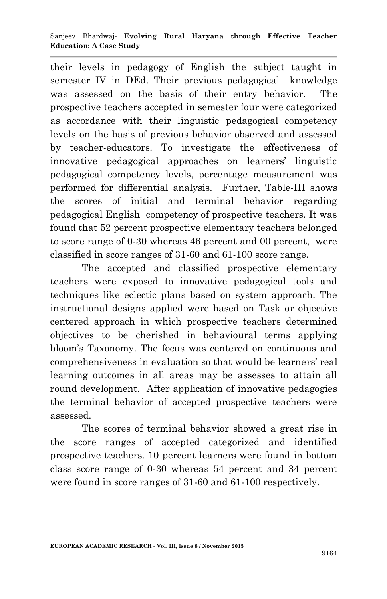their levels in pedagogy of English the subject taught in semester IV in DEd. Their previous pedagogical knowledge was assessed on the basis of their entry behavior. The prospective teachers accepted in semester four were categorized as accordance with their linguistic pedagogical competency levels on the basis of previous behavior observed and assessed by teacher-educators. To investigate the effectiveness of innovative pedagogical approaches on learners" linguistic pedagogical competency levels, percentage measurement was performed for differential analysis. Further, Table-III shows the scores of initial and terminal behavior regarding pedagogical English competency of prospective teachers. It was found that 52 percent prospective elementary teachers belonged to score range of 0-30 whereas 46 percent and 00 percent, were classified in score ranges of 31-60 and 61-100 score range.

The accepted and classified prospective elementary teachers were exposed to innovative pedagogical tools and techniques like eclectic plans based on system approach. The instructional designs applied were based on Task or objective centered approach in which prospective teachers determined objectives to be cherished in behavioural terms applying bloom"s Taxonomy. The focus was centered on continuous and comprehensiveness in evaluation so that would be learners" real learning outcomes in all areas may be assesses to attain all round development. After application of innovative pedagogies the terminal behavior of accepted prospective teachers were assessed.

The scores of terminal behavior showed a great rise in the score ranges of accepted categorized and identified prospective teachers. 10 percent learners were found in bottom class score range of 0-30 whereas 54 percent and 34 percent were found in score ranges of 31-60 and 61-100 respectively.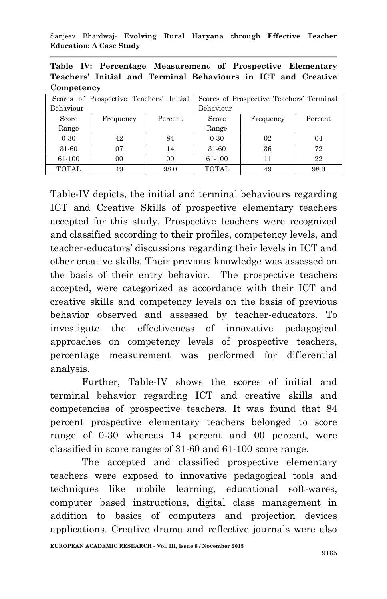Sanjeev Bhardwaj*-* **Evolving Rural Haryana through Effective Teacher Education: A Case Study**

**Table IV: Percentage Measurement of Prospective Elementary Teachers' Initial and Terminal Behaviours in ICT and Creative Competency**

| Scores of Prospective Teachers' Initial |           |         | Scores of Prospective Teachers' Terminal |           |         |
|-----------------------------------------|-----------|---------|------------------------------------------|-----------|---------|
| Behaviour                               |           |         | Behaviour                                |           |         |
| Score                                   | Frequency | Percent | Score                                    | Frequency | Percent |
| Range                                   |           |         | Range                                    |           |         |
| $0-30$                                  | 42        | 84      | $0-30$                                   | 02        | 04      |
| 31-60                                   | 07        | 14      | 31-60                                    | 36        | 72      |
| 61-100                                  | 00        | 00      | 61-100                                   | 11        | 22      |
| <b>TOTAL</b>                            | 49        | 98.0    | <b>TOTAL</b>                             | 49        | 98.0    |

Table-IV depicts, the initial and terminal behaviours regarding ICT and Creative Skills of prospective elementary teachers accepted for this study. Prospective teachers were recognized and classified according to their profiles, competency levels, and teacher-educators" discussions regarding their levels in ICT and other creative skills. Their previous knowledge was assessed on the basis of their entry behavior. The prospective teachers accepted, were categorized as accordance with their ICT and creative skills and competency levels on the basis of previous behavior observed and assessed by teacher-educators. To investigate the effectiveness of innovative pedagogical approaches on competency levels of prospective teachers, percentage measurement was performed for differential analysis.

Further, Table-IV shows the scores of initial and terminal behavior regarding ICT and creative skills and competencies of prospective teachers. It was found that 84 percent prospective elementary teachers belonged to score range of 0-30 whereas 14 percent and 00 percent, were classified in score ranges of 31-60 and 61-100 score range.

The accepted and classified prospective elementary teachers were exposed to innovative pedagogical tools and techniques like mobile learning, educational soft-wares, computer based instructions, digital class management in addition to basics of computers and projection devices applications. Creative drama and reflective journals were also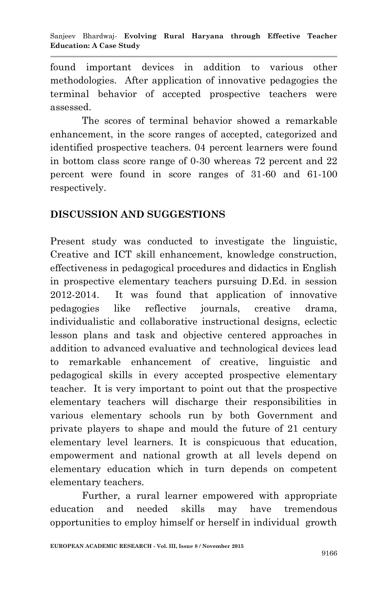found important devices in addition to various other methodologies. After application of innovative pedagogies the terminal behavior of accepted prospective teachers were assessed.

The scores of terminal behavior showed a remarkable enhancement, in the score ranges of accepted, categorized and identified prospective teachers. 04 percent learners were found in bottom class score range of 0-30 whereas 72 percent and 22 percent were found in score ranges of 31-60 and 61-100 respectively.

## **DISCUSSION AND SUGGESTIONS**

Present study was conducted to investigate the linguistic, Creative and ICT skill enhancement, knowledge construction, effectiveness in pedagogical procedures and didactics in English in prospective elementary teachers pursuing D.Ed. in session 2012-2014. It was found that application of innovative pedagogies like reflective journals, creative drama, individualistic and collaborative instructional designs, eclectic lesson plans and task and objective centered approaches in addition to advanced evaluative and technological devices lead to remarkable enhancement of creative, linguistic and pedagogical skills in every accepted prospective elementary teacher. It is very important to point out that the prospective elementary teachers will discharge their responsibilities in various elementary schools run by both Government and private players to shape and mould the future of 21 century elementary level learners. It is conspicuous that education, empowerment and national growth at all levels depend on elementary education which in turn depends on competent elementary teachers.

Further, a rural learner empowered with appropriate education and needed skills may have tremendous opportunities to employ himself or herself in individual growth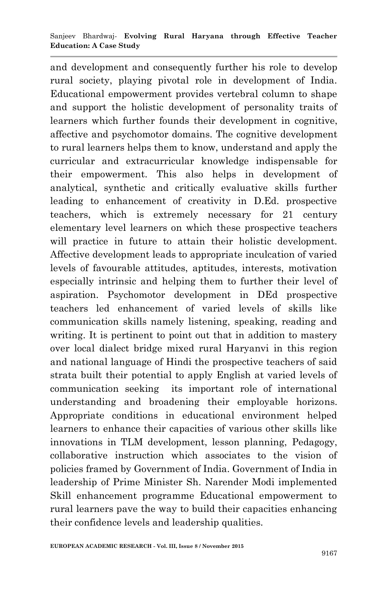and development and consequently further his role to develop rural society, playing pivotal role in development of India. Educational empowerment provides vertebral column to shape and support the holistic development of personality traits of learners which further founds their development in cognitive, affective and psychomotor domains. The cognitive development to rural learners helps them to know, understand and apply the curricular and extracurricular knowledge indispensable for their empowerment. This also helps in development of analytical, synthetic and critically evaluative skills further leading to enhancement of creativity in D.Ed. prospective teachers, which is extremely necessary for 21 century elementary level learners on which these prospective teachers will practice in future to attain their holistic development. Affective development leads to appropriate inculcation of varied levels of favourable attitudes, aptitudes, interests, motivation especially intrinsic and helping them to further their level of aspiration. Psychomotor development in DEd prospective teachers led enhancement of varied levels of skills like communication skills namely listening, speaking, reading and writing. It is pertinent to point out that in addition to mastery over local dialect bridge mixed rural Haryanvi in this region and national language of Hindi the prospective teachers of said strata built their potential to apply English at varied levels of communication seeking its important role of international understanding and broadening their employable horizons. Appropriate conditions in educational environment helped learners to enhance their capacities of various other skills like innovations in TLM development, lesson planning, Pedagogy, collaborative instruction which associates to the vision of policies framed by Government of India. Government of India in leadership of Prime Minister Sh. Narender Modi implemented Skill enhancement programme Educational empowerment to rural learners pave the way to build their capacities enhancing their confidence levels and leadership qualities.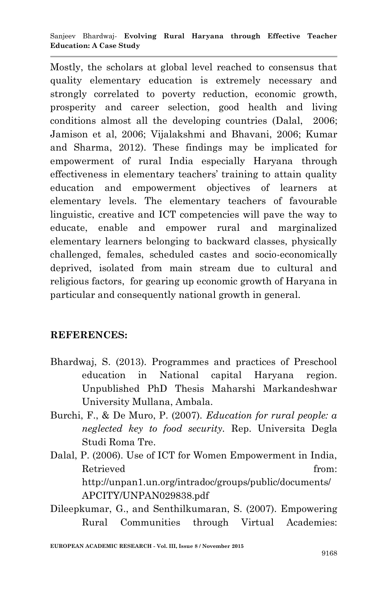#### Sanjeev Bhardwaj*-* **Evolving Rural Haryana through Effective Teacher Education: A Case Study**

Mostly, the scholars at global level reached to consensus that quality elementary education is extremely necessary and strongly correlated to poverty reduction, economic growth, prosperity and career selection, good health and living conditions almost all the developing countries (Dalal, 2006; Jamison et al, 2006; Vijalakshmi and Bhavani, 2006; Kumar and Sharma, 2012). These findings may be implicated for empowerment of rural India especially Haryana through effectiveness in elementary teachers' training to attain quality education and empowerment objectives of learners at elementary levels. The elementary teachers of favourable linguistic, creative and ICT competencies will pave the way to educate, enable and empower rural and marginalized elementary learners belonging to backward classes, physically challenged, females, scheduled castes and socio-economically deprived, isolated from main stream due to cultural and religious factors, for gearing up economic growth of Haryana in particular and consequently national growth in general.

#### **REFERENCES:**

- Bhardwaj, S. (2013). Programmes and practices of Preschool education in National capital Haryana region. Unpublished PhD Thesis Maharshi Markandeshwar University Mullana, Ambala.
- Burchi, F., & De Muro, P. (2007). *Education for rural people: a neglected key to food security.* Rep. Universita Degla Studi Roma Tre.
- Dalal, P. (2006). Use of ICT for Women Empowerment in India, Retrieved from: http://unpan1.un.org/intradoc/groups/public/documents/ APCITY/UNPAN029838.pdf
- Dileepkumar, G., and Senthilkumaran, S. (2007). Empowering Rural Communities through Virtual Academies: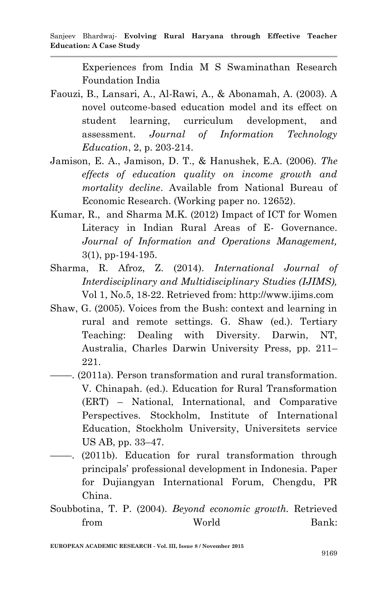Experiences from India M S Swaminathan Research Foundation India

- Faouzi, B., Lansari, A., Al-Rawi, A., & Abonamah, A. (2003). A novel outcome-based education model and its effect on student learning, curriculum development, and assessment. *Journal of Information Technology Education*, 2, p. 203-214.
- Jamison, E. A., Jamison, D. T., & Hanushek, E.A. (2006). *The effects of education quality on income growth and mortality decline*. Available from National Bureau of Economic Research. (Working paper no. 12652).
- Kumar, R., and Sharma M.K. (2012) Impact of ICT for Women Literacy in Indian Rural Areas of E- Governance. *Journal of Information and Operations Management,*  3(1), pp-194-195.
- Sharma, R. Afroz, Z. (2014). *International Journal of Interdisciplinary and Multidisciplinary Studies (IJIMS),* Vol 1, No.5, 18-22. Retrieved from: http://www.ijims.com
- Shaw, G. (2005). Voices from the Bush: context and learning in rural and remote settings. G. Shaw (ed.). Tertiary Teaching: Dealing with Diversity. Darwin, NT, Australia, Charles Darwin University Press, pp. 211– 221.
- ––––. (2011a). Person transformation and rural transformation. V. Chinapah. (ed.). Education for Rural Transformation (ERT) – National, International, and Comparative Perspectives. Stockholm, Institute of International Education, Stockholm University, Universitets service US AB, pp. 33–47.
- ––––. (2011b). Education for rural transformation through principals" professional development in Indonesia. Paper for Dujiangyan International Forum, Chengdu, PR China.
- Soubbotina, T. P. (2004). *Beyond economic growth.* Retrieved from World Bank: